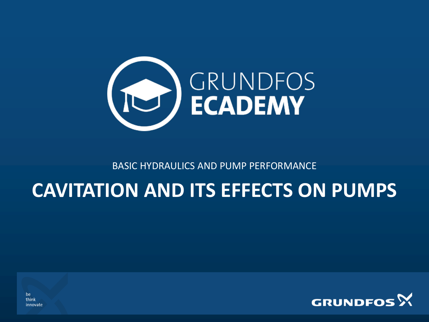

BASIC HYDRAULICS AND PUMP PERFORMANCE

# **CAVITATION AND ITS EFFECTS ON PUMPS**



be think innovate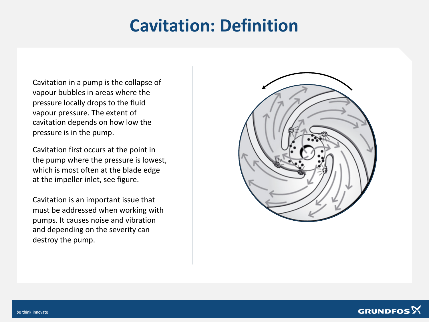#### **Cavitation: Definition**

Cavitation in a pump is the collapse of vapour bubbles in areas where the pressure locally drops to the fluid vapour pressure. The extent of cavitation depends on how low the pressure is in the pump.

Cavitation first occurs at the point in the pump where the pressure is lowest, which is most often at the blade edge at the impeller inlet, see figure.

Cavitation is an important issue that must be addressed when working with pumps. It causes noise and vibration and depending on the severity can destroy the pump.



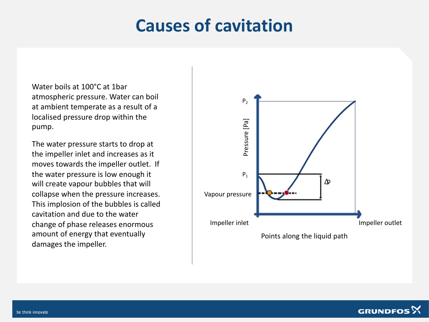#### **Causes of cavitation**

Water boils at 100°C at 1bar atmospheric pressure. Water can boil at ambient temperate as a result of a localised pressure drop within the pump.

The water pressure starts to drop at the impeller inlet and increases as it moves towards the impeller outlet. If the water pressure is low enough it will create vapour bubbles that will collapse when the pressure increases. This implosion of the bubbles is called cavitation and due to the water change of phase releases enormous amount of energy that eventually damages the impeller.



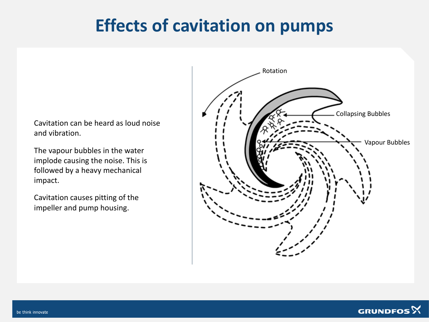### **Effects of cavitation on pumps**

Cavitation can be heard as loud noise and vibration.

The vapour bubbles in the water implode causing the noise. This is followed by a heavy mechanical impact.

Cavitation causes pitting of the impeller and pump housing.



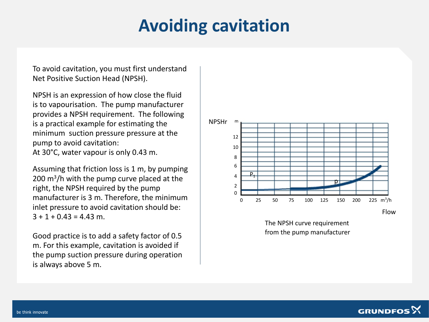### **Avoiding cavitation**

To avoid cavitation, you must first understand Net Positive Suction Head (NPSH).

NPSH is an expression of how close the fluid is to vapourisation. The pump manufacturer provides a NPSH requirement. The following is a practical example for estimating the minimum suction pressure pressure at the pump to avoid cavitation: At 30°C, water vapour is only 0.43 m.

Assuming that friction loss is 1 m, by pumping 200 m<sup>3</sup>/h with the pump curve placed at the right, the NPSH required by the pump manufacturer is 3 m. Therefore, the minimum inlet pressure to avoid cavitation should be:  $3 + 1 + 0.43 = 4.43$  m.

Good practice is to add a safety factor of 0.5 m. For this example, cavitation is avoided if the pump suction pressure during operation is always above 5 m.



The NPSH curve requirement from the pump manufacturer

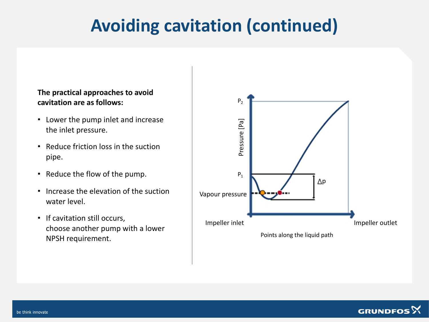## **Avoiding cavitation (continued)**

#### **The practical approaches to avoid cavitation are as follows:**

- Lower the pump inlet and increase the inlet pressure.
- Reduce friction loss in the suction pipe.
- Reduce the flow of the pump.
- Increase the elevation of the suction water level.
- If cavitation still occurs, choose another pump with a lower NPSH requirement.